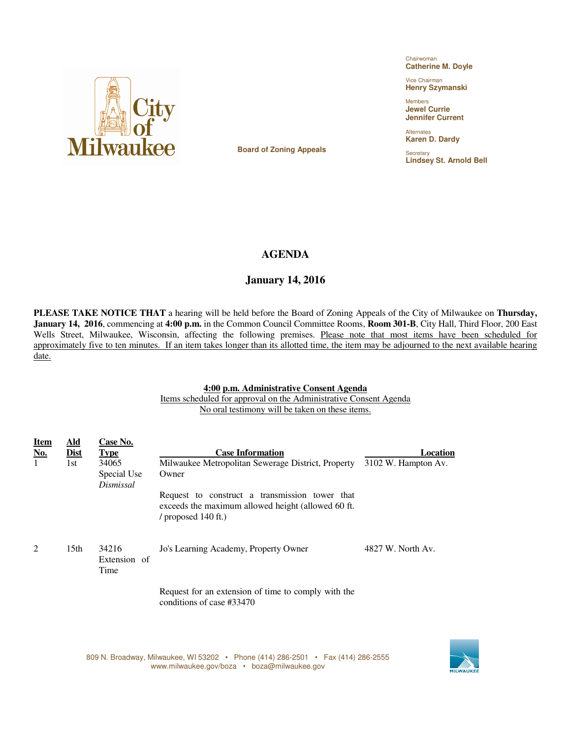

Chairwoman **Catherine M. Doyle**

Vice Chairman **Henry Szymanski**

Members **Jewel Currie Jennifer Current** 

Alternates **Karen D. Dardy**

**Secretary Lindsey St. Arnold Bell**

**Board of Zoning Appeals** 

## **AGENDA**

## **January 14, 2016**

**PLEASE TAKE NOTICE THAT** a hearing will be held before the Board of Zoning Appeals of the City of Milwaukee on **Thursday, January 14, 2016**, commencing at **4:00 p.m.** in the Common Council Committee Rooms, **Room 301-B**, City Hall, Third Floor, 200 East Wells Street, Milwaukee, Wisconsin, affecting the following premises. Please note that most items have been scheduled for approximately five to ten minutes. If an item takes longer than its allotted time, the item may be adjourned to the next available hearing date.

## **4:00 p.m. Administrative Consent Agenda**

 Items scheduled for approval on the Administrative Consent Agenda No oral testimony will be taken on these items.

| <u>Item</u><br><u>No.</u><br>1 | <b>Ald</b><br><b>Dist</b><br>1st | Case No.<br><b>Type</b><br>34065<br>Special Use<br>Dismissal | <b>Case Information</b><br>Milwaukee Metropolitan Sewerage District, Property<br>Owner<br>Request to construct a transmission tower that<br>exceeds the maximum allowed height (allowed 60 ft.<br>/ proposed $140$ ft.) | Location<br>3102 W. Hampton Av. |
|--------------------------------|----------------------------------|--------------------------------------------------------------|-------------------------------------------------------------------------------------------------------------------------------------------------------------------------------------------------------------------------|---------------------------------|
| 2                              | 15 <sub>th</sub>                 | 34216<br>Extension of<br>Time                                | Jo's Learning Academy, Property Owner                                                                                                                                                                                   | 4827 W. North Av.               |
|                                |                                  |                                                              | Request for an extension of time to comply with the<br>conditions of case #33470                                                                                                                                        |                                 |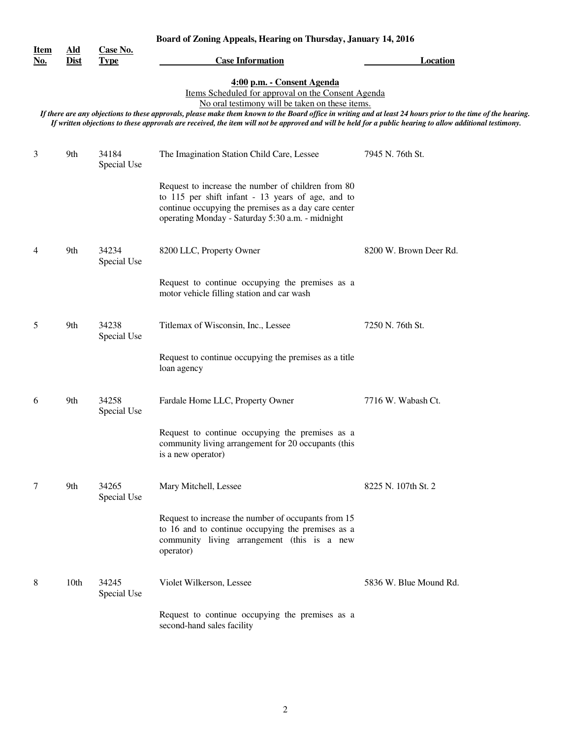|                           | Board of Zoning Appeals, Hearing on Thursday, January 14, 2016 |                         |                                                                                                                                                                                                                                                                                                                                                                                                                                                                   |                        |
|---------------------------|----------------------------------------------------------------|-------------------------|-------------------------------------------------------------------------------------------------------------------------------------------------------------------------------------------------------------------------------------------------------------------------------------------------------------------------------------------------------------------------------------------------------------------------------------------------------------------|------------------------|
| <b>Item</b><br><u>No.</u> | <u>Ald</u><br><b>Dist</b>                                      | Case No.<br><b>Type</b> | <b>Case Information</b>                                                                                                                                                                                                                                                                                                                                                                                                                                           | <b>Location</b>        |
|                           |                                                                |                         | 4:00 p.m. - Consent Agenda<br>Items Scheduled for approval on the Consent Agenda<br>No oral testimony will be taken on these items.<br>If there are any objections to these approvals, please make them known to the Board office in writing and at least 24 hours prior to the time of the hearing.<br>If written objections to these approvals are received, the item will not be approved and will be held for a public hearing to allow additional testimony. |                        |
| 3                         | 9th                                                            | 34184<br>Special Use    | The Imagination Station Child Care, Lessee                                                                                                                                                                                                                                                                                                                                                                                                                        | 7945 N. 76th St.       |
|                           |                                                                |                         | Request to increase the number of children from 80<br>to 115 per shift infant - 13 years of age, and to<br>continue occupying the premises as a day care center<br>operating Monday - Saturday 5:30 a.m. - midnight                                                                                                                                                                                                                                               |                        |
| 4                         | 9th                                                            | 34234<br>Special Use    | 8200 LLC, Property Owner                                                                                                                                                                                                                                                                                                                                                                                                                                          | 8200 W. Brown Deer Rd. |
|                           |                                                                |                         | Request to continue occupying the premises as a<br>motor vehicle filling station and car wash                                                                                                                                                                                                                                                                                                                                                                     |                        |
| 5                         | 9th                                                            | 34238<br>Special Use    | Titlemax of Wisconsin, Inc., Lessee                                                                                                                                                                                                                                                                                                                                                                                                                               | 7250 N. 76th St.       |
|                           |                                                                |                         | Request to continue occupying the premises as a title<br>loan agency                                                                                                                                                                                                                                                                                                                                                                                              |                        |
| 6                         | 9th                                                            | 34258<br>Special Use    | Fardale Home LLC, Property Owner                                                                                                                                                                                                                                                                                                                                                                                                                                  | 7716 W. Wabash Ct.     |
|                           |                                                                |                         | Request to continue occupying the premises as a<br>community living arrangement for 20 occupants (this<br>is a new operator)                                                                                                                                                                                                                                                                                                                                      |                        |
| 7                         | 9th                                                            | 34265<br>Special Use    | Mary Mitchell, Lessee                                                                                                                                                                                                                                                                                                                                                                                                                                             | 8225 N. 107th St. 2    |
|                           |                                                                |                         | Request to increase the number of occupants from 15<br>to 16 and to continue occupying the premises as a<br>community living arrangement (this is a new<br>operator)                                                                                                                                                                                                                                                                                              |                        |
| 8                         | 10 <sub>th</sub>                                               | 34245<br>Special Use    | Violet Wilkerson, Lessee                                                                                                                                                                                                                                                                                                                                                                                                                                          | 5836 W. Blue Mound Rd. |
|                           |                                                                |                         | Request to continue occupying the premises as a<br>second-hand sales facility                                                                                                                                                                                                                                                                                                                                                                                     |                        |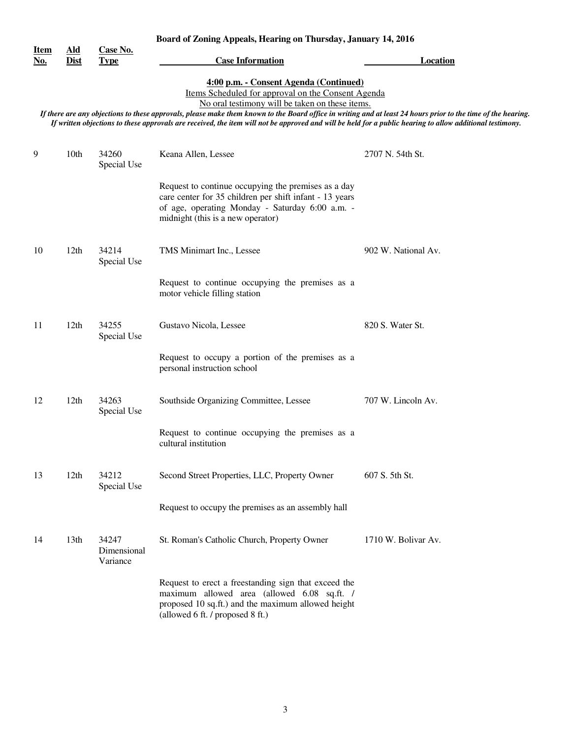|                           | Board of Zoning Appeals, Hearing on Thursday, January 14, 2016                                                                                                                                                   |                                  |                                                                                                                                                                                                        |                     |  |
|---------------------------|------------------------------------------------------------------------------------------------------------------------------------------------------------------------------------------------------------------|----------------------------------|--------------------------------------------------------------------------------------------------------------------------------------------------------------------------------------------------------|---------------------|--|
| <u>Item</u><br><u>No.</u> | $\underline{\mathbf{A}}\mathbf{Id}$<br><b>Dist</b>                                                                                                                                                               | Case No.<br><b>Type</b>          | <b>Case Information</b>                                                                                                                                                                                | <b>Location</b>     |  |
|                           |                                                                                                                                                                                                                  |                                  | 4:00 p.m. - Consent Agenda (Continued)                                                                                                                                                                 |                     |  |
|                           |                                                                                                                                                                                                                  |                                  | Items Scheduled for approval on the Consent Agenda                                                                                                                                                     |                     |  |
|                           | No oral testimony will be taken on these items.<br>If there are any objections to these approvals, please make them known to the Board office in writing and at least 24 hours prior to the time of the hearing. |                                  |                                                                                                                                                                                                        |                     |  |
|                           |                                                                                                                                                                                                                  |                                  | If written objections to these approvals are received, the item will not be approved and will be held for a public hearing to allow additional testimony.                                              |                     |  |
|                           |                                                                                                                                                                                                                  |                                  |                                                                                                                                                                                                        |                     |  |
| 9                         | 10 <sub>th</sub>                                                                                                                                                                                                 | 34260<br>Special Use             | Keana Allen, Lessee                                                                                                                                                                                    | 2707 N. 54th St.    |  |
|                           |                                                                                                                                                                                                                  |                                  | Request to continue occupying the premises as a day<br>care center for 35 children per shift infant - 13 years<br>of age, operating Monday - Saturday 6:00 a.m. -<br>midnight (this is a new operator) |                     |  |
| 10                        | 12 <sup>th</sup>                                                                                                                                                                                                 | 34214<br>Special Use             | TMS Minimart Inc., Lessee                                                                                                                                                                              | 902 W. National Av. |  |
|                           |                                                                                                                                                                                                                  |                                  | Request to continue occupying the premises as a<br>motor vehicle filling station                                                                                                                       |                     |  |
| 11                        | 12th                                                                                                                                                                                                             | 34255<br>Special Use             | Gustavo Nicola, Lessee                                                                                                                                                                                 | 820 S. Water St.    |  |
|                           |                                                                                                                                                                                                                  |                                  | Request to occupy a portion of the premises as a<br>personal instruction school                                                                                                                        |                     |  |
| 12                        | 12 <sup>th</sup>                                                                                                                                                                                                 | 34263<br>Special Use             | Southside Organizing Committee, Lessee                                                                                                                                                                 | 707 W. Lincoln Av.  |  |
|                           |                                                                                                                                                                                                                  |                                  | Request to continue occupying the premises as a<br>cultural institution                                                                                                                                |                     |  |
| 13                        | 12th                                                                                                                                                                                                             | 34212<br>Special Use             | Second Street Properties, LLC, Property Owner                                                                                                                                                          | 607 S. 5th St.      |  |
|                           |                                                                                                                                                                                                                  |                                  | Request to occupy the premises as an assembly hall                                                                                                                                                     |                     |  |
| 14                        | 13 <sub>th</sub>                                                                                                                                                                                                 | 34247<br>Dimensional<br>Variance | St. Roman's Catholic Church, Property Owner                                                                                                                                                            | 1710 W. Bolivar Av. |  |
|                           |                                                                                                                                                                                                                  |                                  | Request to erect a freestanding sign that exceed the<br>maximum allowed area (allowed 6.08 sq.ft. /<br>proposed 10 sq.ft.) and the maximum allowed height<br>(allowed 6 ft. / proposed 8 ft.)          |                     |  |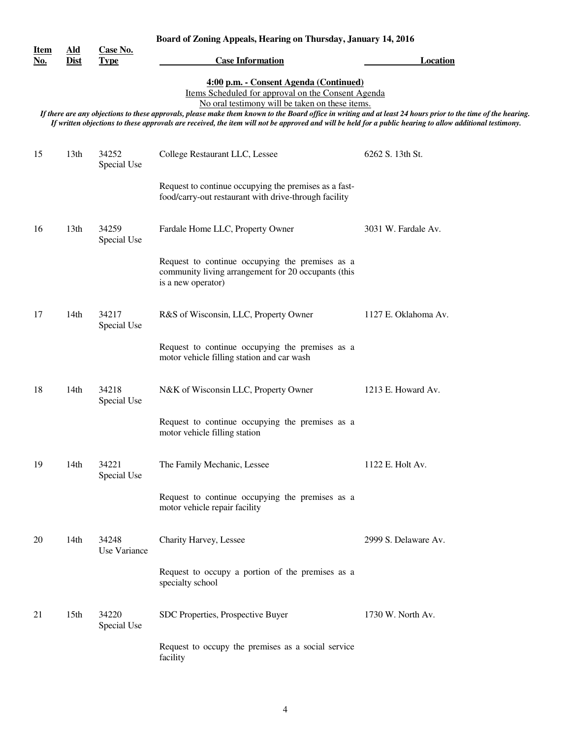|                           | Board of Zoning Appeals, Hearing on Thursday, January 14, 2016 |                         |                                                                                                                                                                                                                                                                                                                                                                                                                                                                               |                      |
|---------------------------|----------------------------------------------------------------|-------------------------|-------------------------------------------------------------------------------------------------------------------------------------------------------------------------------------------------------------------------------------------------------------------------------------------------------------------------------------------------------------------------------------------------------------------------------------------------------------------------------|----------------------|
| <u>Item</u><br><u>No.</u> | <u>Ald</u><br><b>Dist</b>                                      | Case No.<br><b>Type</b> | <b>Case Information</b>                                                                                                                                                                                                                                                                                                                                                                                                                                                       | <b>Location</b>      |
|                           |                                                                |                         | 4:00 p.m. - Consent Agenda (Continued)<br>Items Scheduled for approval on the Consent Agenda<br>No oral testimony will be taken on these items.<br>If there are any objections to these approvals, please make them known to the Board office in writing and at least 24 hours prior to the time of the hearing.<br>If written objections to these approvals are received, the item will not be approved and will be held for a public hearing to allow additional testimony. |                      |
| 15                        | 13 <sub>th</sub>                                               | 34252<br>Special Use    | College Restaurant LLC, Lessee                                                                                                                                                                                                                                                                                                                                                                                                                                                | 6262 S. 13th St.     |
|                           |                                                                |                         | Request to continue occupying the premises as a fast-<br>food/carry-out restaurant with drive-through facility                                                                                                                                                                                                                                                                                                                                                                |                      |
| 16                        | 13th                                                           | 34259<br>Special Use    | Fardale Home LLC, Property Owner                                                                                                                                                                                                                                                                                                                                                                                                                                              | 3031 W. Fardale Av.  |
|                           |                                                                |                         | Request to continue occupying the premises as a<br>community living arrangement for 20 occupants (this<br>is a new operator)                                                                                                                                                                                                                                                                                                                                                  |                      |
| 17                        | 14th                                                           | 34217<br>Special Use    | R&S of Wisconsin, LLC, Property Owner                                                                                                                                                                                                                                                                                                                                                                                                                                         | 1127 E. Oklahoma Av. |
|                           |                                                                |                         | Request to continue occupying the premises as a<br>motor vehicle filling station and car wash                                                                                                                                                                                                                                                                                                                                                                                 |                      |
| 18                        | 14th                                                           | 34218<br>Special Use    | N&K of Wisconsin LLC, Property Owner                                                                                                                                                                                                                                                                                                                                                                                                                                          | 1213 E. Howard Av.   |
|                           |                                                                |                         | Request to continue occupying the premises as a<br>motor vehicle filling station                                                                                                                                                                                                                                                                                                                                                                                              |                      |
| 19                        | 14th                                                           | 34221<br>Special Use    | The Family Mechanic, Lessee                                                                                                                                                                                                                                                                                                                                                                                                                                                   | 1122 E. Holt Av.     |
|                           |                                                                |                         | Request to continue occupying the premises as a<br>motor vehicle repair facility                                                                                                                                                                                                                                                                                                                                                                                              |                      |
| 20                        | 14 <sub>th</sub>                                               | 34248<br>Use Variance   | Charity Harvey, Lessee                                                                                                                                                                                                                                                                                                                                                                                                                                                        | 2999 S. Delaware Av. |
|                           |                                                                |                         | Request to occupy a portion of the premises as a<br>specialty school                                                                                                                                                                                                                                                                                                                                                                                                          |                      |
| 21                        | 15 <sub>th</sub>                                               | 34220<br>Special Use    | SDC Properties, Prospective Buyer                                                                                                                                                                                                                                                                                                                                                                                                                                             | 1730 W. North Av.    |
|                           |                                                                |                         | Request to occupy the premises as a social service<br>facility                                                                                                                                                                                                                                                                                                                                                                                                                |                      |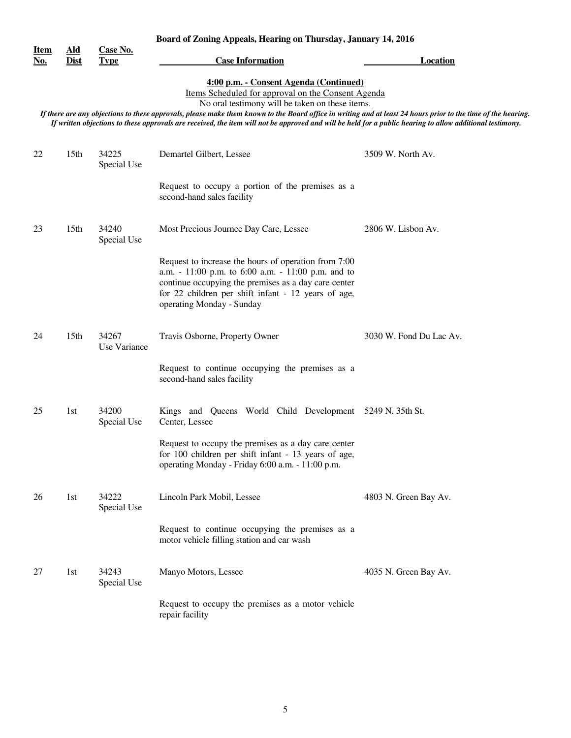|                           | Board of Zoning Appeals, Hearing on Thursday, January 14, 2016                                                                                                                                                                                                                                                                                                                                                                                                                |                         |                                                                                                                                                                                                                                                        |                         |  |  |
|---------------------------|-------------------------------------------------------------------------------------------------------------------------------------------------------------------------------------------------------------------------------------------------------------------------------------------------------------------------------------------------------------------------------------------------------------------------------------------------------------------------------|-------------------------|--------------------------------------------------------------------------------------------------------------------------------------------------------------------------------------------------------------------------------------------------------|-------------------------|--|--|
| <u>Item</u><br><u>No.</u> | $\underline{\mathbf{A}\mathbf{Id}}$<br><b>Dist</b>                                                                                                                                                                                                                                                                                                                                                                                                                            | Case No.<br><b>Type</b> | <b>Case Information</b>                                                                                                                                                                                                                                | <b>Location</b>         |  |  |
|                           | 4:00 p.m. - Consent Agenda (Continued)<br>Items Scheduled for approval on the Consent Agenda<br>No oral testimony will be taken on these items.<br>If there are any objections to these approvals, please make them known to the Board office in writing and at least 24 hours prior to the time of the hearing.<br>If written objections to these approvals are received, the item will not be approved and will be held for a public hearing to allow additional testimony. |                         |                                                                                                                                                                                                                                                        |                         |  |  |
|                           |                                                                                                                                                                                                                                                                                                                                                                                                                                                                               |                         |                                                                                                                                                                                                                                                        |                         |  |  |
| 22                        | 15 <sub>th</sub>                                                                                                                                                                                                                                                                                                                                                                                                                                                              | 34225<br>Special Use    | Demartel Gilbert, Lessee                                                                                                                                                                                                                               | 3509 W. North Av.       |  |  |
|                           |                                                                                                                                                                                                                                                                                                                                                                                                                                                                               |                         | Request to occupy a portion of the premises as a<br>second-hand sales facility                                                                                                                                                                         |                         |  |  |
| 23                        | 15 <sub>th</sub>                                                                                                                                                                                                                                                                                                                                                                                                                                                              | 34240<br>Special Use    | Most Precious Journee Day Care, Lessee                                                                                                                                                                                                                 | 2806 W. Lisbon Av.      |  |  |
|                           |                                                                                                                                                                                                                                                                                                                                                                                                                                                                               |                         | Request to increase the hours of operation from 7:00<br>a.m. - 11:00 p.m. to 6:00 a.m. - 11:00 p.m. and to<br>continue occupying the premises as a day care center<br>for 22 children per shift infant - 12 years of age,<br>operating Monday - Sunday |                         |  |  |
| 24                        | 15 <sub>th</sub>                                                                                                                                                                                                                                                                                                                                                                                                                                                              | 34267<br>Use Variance   | Travis Osborne, Property Owner                                                                                                                                                                                                                         | 3030 W. Fond Du Lac Av. |  |  |
|                           |                                                                                                                                                                                                                                                                                                                                                                                                                                                                               |                         | Request to continue occupying the premises as a<br>second-hand sales facility                                                                                                                                                                          |                         |  |  |
| 25                        | 1st                                                                                                                                                                                                                                                                                                                                                                                                                                                                           | 34200<br>Special Use    | Kings and Queens World Child Development 5249 N. 35th St.<br>Center, Lessee                                                                                                                                                                            |                         |  |  |
|                           |                                                                                                                                                                                                                                                                                                                                                                                                                                                                               |                         | Request to occupy the premises as a day care center<br>for 100 children per shift infant - 13 years of age,<br>operating Monday - Friday 6:00 a.m. - 11:00 p.m.                                                                                        |                         |  |  |
| 26                        | 1st                                                                                                                                                                                                                                                                                                                                                                                                                                                                           | 34222<br>Special Use    | Lincoln Park Mobil, Lessee                                                                                                                                                                                                                             | 4803 N. Green Bay Av.   |  |  |
|                           |                                                                                                                                                                                                                                                                                                                                                                                                                                                                               |                         | Request to continue occupying the premises as a<br>motor vehicle filling station and car wash                                                                                                                                                          |                         |  |  |
| 27                        | 1st                                                                                                                                                                                                                                                                                                                                                                                                                                                                           | 34243<br>Special Use    | Manyo Motors, Lessee                                                                                                                                                                                                                                   | 4035 N. Green Bay Av.   |  |  |
|                           |                                                                                                                                                                                                                                                                                                                                                                                                                                                                               |                         | Request to occupy the premises as a motor vehicle<br>repair facility                                                                                                                                                                                   |                         |  |  |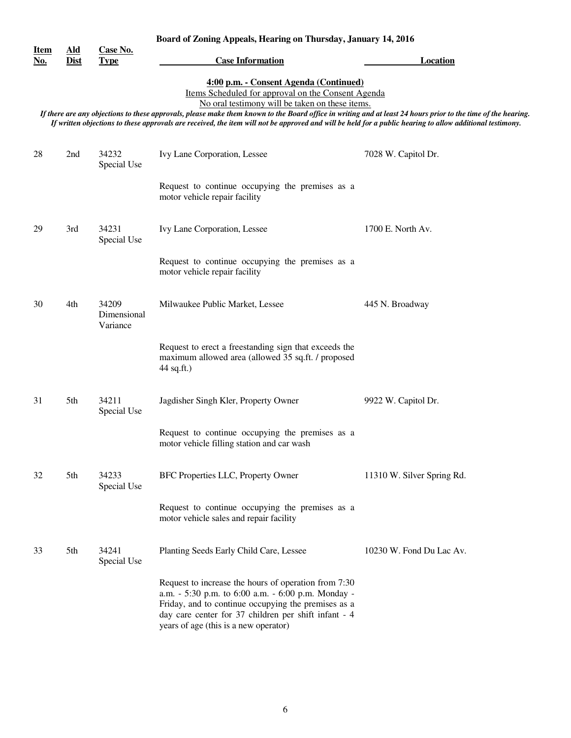|                           |                                                    |                                  | Board of Zoning Appeals, Hearing on Thursday, January 14, 2016                                                                                                                                                                                                                                                                                                                                                                                                                |                            |  |
|---------------------------|----------------------------------------------------|----------------------------------|-------------------------------------------------------------------------------------------------------------------------------------------------------------------------------------------------------------------------------------------------------------------------------------------------------------------------------------------------------------------------------------------------------------------------------------------------------------------------------|----------------------------|--|
| <u>Item</u><br><u>No.</u> | $\underline{\mathbf{A}}\mathbf{Id}$<br><b>Dist</b> | Case No.<br><b>Type</b>          | <b>Case Information</b>                                                                                                                                                                                                                                                                                                                                                                                                                                                       | <b>Location</b>            |  |
|                           |                                                    |                                  | 4:00 p.m. - Consent Agenda (Continued)<br>Items Scheduled for approval on the Consent Agenda<br>No oral testimony will be taken on these items.<br>If there are any objections to these approvals, please make them known to the Board office in writing and at least 24 hours prior to the time of the hearing.<br>If written objections to these approvals are received, the item will not be approved and will be held for a public hearing to allow additional testimony. |                            |  |
| 28                        | 2nd                                                | 34232<br>Special Use             | Ivy Lane Corporation, Lessee                                                                                                                                                                                                                                                                                                                                                                                                                                                  | 7028 W. Capitol Dr.        |  |
|                           |                                                    |                                  | Request to continue occupying the premises as a<br>motor vehicle repair facility                                                                                                                                                                                                                                                                                                                                                                                              |                            |  |
| 29                        | 3rd                                                | 34231<br>Special Use             | Ivy Lane Corporation, Lessee                                                                                                                                                                                                                                                                                                                                                                                                                                                  | 1700 E. North Av.          |  |
|                           |                                                    |                                  | Request to continue occupying the premises as a<br>motor vehicle repair facility                                                                                                                                                                                                                                                                                                                                                                                              |                            |  |
| 30                        | 4th                                                | 34209<br>Dimensional<br>Variance | Milwaukee Public Market, Lessee                                                                                                                                                                                                                                                                                                                                                                                                                                               | 445 N. Broadway            |  |
|                           |                                                    |                                  | Request to erect a freestanding sign that exceeds the<br>maximum allowed area (allowed 35 sq.ft. / proposed<br>44 sq.ft.)                                                                                                                                                                                                                                                                                                                                                     |                            |  |
| 31                        | 5th                                                | 34211<br>Special Use             | Jagdisher Singh Kler, Property Owner                                                                                                                                                                                                                                                                                                                                                                                                                                          | 9922 W. Capitol Dr.        |  |
|                           |                                                    |                                  | Request to continue occupying the premises as a<br>motor vehicle filling station and car wash                                                                                                                                                                                                                                                                                                                                                                                 |                            |  |
| 32                        | 5th                                                | 34233<br>Special Use             | BFC Properties LLC, Property Owner                                                                                                                                                                                                                                                                                                                                                                                                                                            | 11310 W. Silver Spring Rd. |  |
|                           |                                                    |                                  | Request to continue occupying the premises as a<br>motor vehicle sales and repair facility                                                                                                                                                                                                                                                                                                                                                                                    |                            |  |
| 33                        | 5th                                                | 34241<br>Special Use             | Planting Seeds Early Child Care, Lessee                                                                                                                                                                                                                                                                                                                                                                                                                                       | 10230 W. Fond Du Lac Av.   |  |
|                           |                                                    |                                  | Request to increase the hours of operation from 7:30<br>a.m. - 5:30 p.m. to 6:00 a.m. - 6:00 p.m. Monday -<br>Friday, and to continue occupying the premises as a<br>day care center for 37 children per shift infant - 4<br>years of age (this is a new operator)                                                                                                                                                                                                            |                            |  |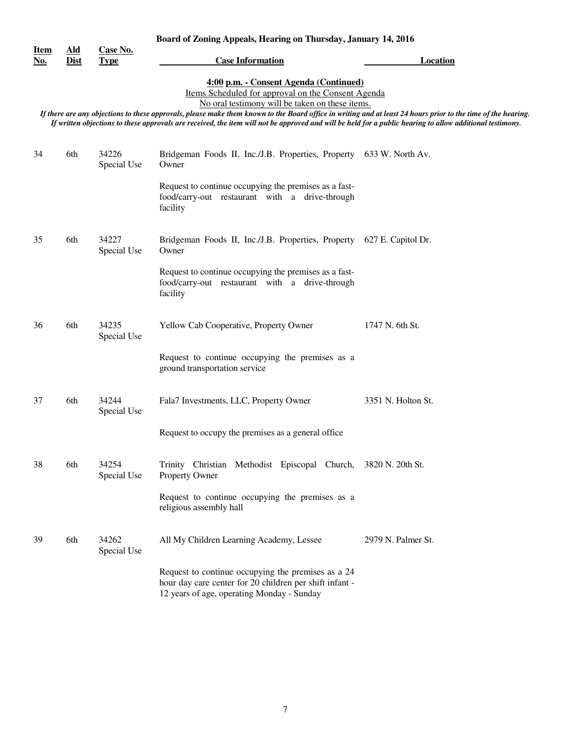|                           | Board of Zoning Appeals, Hearing on Thursday, January 14, 2016 |                         |                                                                                                                                                                                                                                                                                                                                                                                                                                                                               |                    |
|---------------------------|----------------------------------------------------------------|-------------------------|-------------------------------------------------------------------------------------------------------------------------------------------------------------------------------------------------------------------------------------------------------------------------------------------------------------------------------------------------------------------------------------------------------------------------------------------------------------------------------|--------------------|
| <u>Item</u><br><u>No.</u> | $\underline{\mathbf{A}}\mathbf{Id}$<br><b>Dist</b>             | Case No.<br><b>Type</b> | <b>Case Information</b>                                                                                                                                                                                                                                                                                                                                                                                                                                                       | <b>Location</b>    |
|                           |                                                                |                         | 4:00 p.m. - Consent Agenda (Continued)<br>Items Scheduled for approval on the Consent Agenda<br>No oral testimony will be taken on these items.<br>If there are any objections to these approvals, please make them known to the Board office in writing and at least 24 hours prior to the time of the hearing.<br>If written objections to these approvals are received, the item will not be approved and will be held for a public hearing to allow additional testimony. |                    |
| 34                        | 6th                                                            | 34226<br>Special Use    | Bridgeman Foods II, Inc./J.B. Properties, Property 633 W. North Av.<br>Owner                                                                                                                                                                                                                                                                                                                                                                                                  |                    |
|                           |                                                                |                         | Request to continue occupying the premises as a fast-<br>food/carry-out restaurant with a drive-through<br>facility                                                                                                                                                                                                                                                                                                                                                           |                    |
| 35                        | 6th                                                            | 34227<br>Special Use    | Bridgeman Foods II, Inc./J.B. Properties, Property 627 E. Capitol Dr.<br>Owner                                                                                                                                                                                                                                                                                                                                                                                                |                    |
|                           |                                                                |                         | Request to continue occupying the premises as a fast-<br>food/carry-out restaurant with a drive-through<br>facility                                                                                                                                                                                                                                                                                                                                                           |                    |
| 36                        | 6th                                                            | 34235<br>Special Use    | Yellow Cab Cooperative, Property Owner                                                                                                                                                                                                                                                                                                                                                                                                                                        | 1747 N. 6th St.    |
|                           |                                                                |                         | Request to continue occupying the premises as a<br>ground transportation service                                                                                                                                                                                                                                                                                                                                                                                              |                    |
| 37                        | 6th                                                            | 34244<br>Special Use    | Fala7 Investments, LLC, Property Owner                                                                                                                                                                                                                                                                                                                                                                                                                                        | 3351 N. Holton St. |
|                           |                                                                |                         | Request to occupy the premises as a general office.                                                                                                                                                                                                                                                                                                                                                                                                                           |                    |
| 38                        | 6th                                                            | 34254<br>Special Use    | Trinity Christian Methodist Episcopal Church, 3820 N. 20th St.<br>Property Owner                                                                                                                                                                                                                                                                                                                                                                                              |                    |
|                           |                                                                |                         | Request to continue occupying the premises as a<br>religious assembly hall                                                                                                                                                                                                                                                                                                                                                                                                    |                    |
| 39                        | 6th                                                            | 34262<br>Special Use    | All My Children Learning Academy, Lessee                                                                                                                                                                                                                                                                                                                                                                                                                                      | 2979 N. Palmer St. |
|                           |                                                                |                         | Request to continue occupying the premises as a 24<br>hour day care center for 20 children per shift infant -<br>12 years of age, operating Monday - Sunday                                                                                                                                                                                                                                                                                                                   |                    |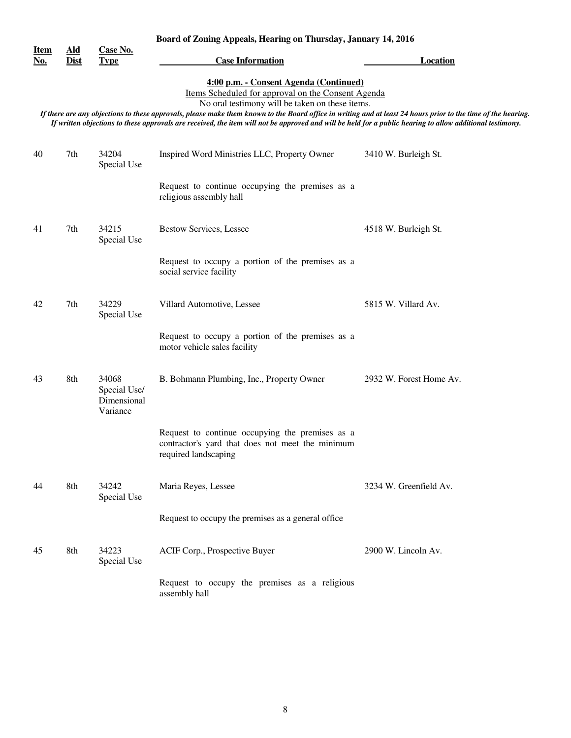|                           |                                                                                                                                                                                                                                                                                                                                                                                                                                                                               |                                                  | Board of Zoning Appeals, Hearing on Thursday, January 14, 2016                                                              |                         |  |
|---------------------------|-------------------------------------------------------------------------------------------------------------------------------------------------------------------------------------------------------------------------------------------------------------------------------------------------------------------------------------------------------------------------------------------------------------------------------------------------------------------------------|--------------------------------------------------|-----------------------------------------------------------------------------------------------------------------------------|-------------------------|--|
| <u>Item</u><br><u>No.</u> | $\underline{\mathbf{A}}\mathbf{Id}$<br><b>Dist</b>                                                                                                                                                                                                                                                                                                                                                                                                                            | Case No.<br><b>Type</b>                          | <b>Case Information</b>                                                                                                     | <b>Location</b>         |  |
|                           | 4:00 p.m. - Consent Agenda (Continued)<br>Items Scheduled for approval on the Consent Agenda<br>No oral testimony will be taken on these items.<br>If there are any objections to these approvals, please make them known to the Board office in writing and at least 24 hours prior to the time of the hearing.<br>If written objections to these approvals are received, the item will not be approved and will be held for a public hearing to allow additional testimony. |                                                  |                                                                                                                             |                         |  |
| 40                        | 7th                                                                                                                                                                                                                                                                                                                                                                                                                                                                           | 34204<br>Special Use                             | Inspired Word Ministries LLC, Property Owner                                                                                | 3410 W. Burleigh St.    |  |
|                           |                                                                                                                                                                                                                                                                                                                                                                                                                                                                               |                                                  | Request to continue occupying the premises as a<br>religious assembly hall                                                  |                         |  |
| 41                        | 7th                                                                                                                                                                                                                                                                                                                                                                                                                                                                           | 34215<br>Special Use                             | <b>Bestow Services, Lessee</b>                                                                                              | 4518 W. Burleigh St.    |  |
|                           |                                                                                                                                                                                                                                                                                                                                                                                                                                                                               |                                                  | Request to occupy a portion of the premises as a<br>social service facility                                                 |                         |  |
| 42                        | 7th                                                                                                                                                                                                                                                                                                                                                                                                                                                                           | 34229<br>Special Use                             | Villard Automotive, Lessee                                                                                                  | 5815 W. Villard Av.     |  |
|                           |                                                                                                                                                                                                                                                                                                                                                                                                                                                                               |                                                  | Request to occupy a portion of the premises as a<br>motor vehicle sales facility                                            |                         |  |
| 43                        | 8th                                                                                                                                                                                                                                                                                                                                                                                                                                                                           | 34068<br>Special Use/<br>Dimensional<br>Variance | B. Bohmann Plumbing, Inc., Property Owner                                                                                   | 2932 W. Forest Home Av. |  |
|                           |                                                                                                                                                                                                                                                                                                                                                                                                                                                                               |                                                  | Request to continue occupying the premises as a<br>contractor's yard that does not meet the minimum<br>required landscaping |                         |  |
| 44                        | 8th                                                                                                                                                                                                                                                                                                                                                                                                                                                                           | 34242<br>Special Use                             | Maria Reyes, Lessee                                                                                                         | 3234 W. Greenfield Av.  |  |
|                           |                                                                                                                                                                                                                                                                                                                                                                                                                                                                               |                                                  | Request to occupy the premises as a general office                                                                          |                         |  |
| 45                        | 8th                                                                                                                                                                                                                                                                                                                                                                                                                                                                           | 34223<br>Special Use                             | ACIF Corp., Prospective Buyer                                                                                               | 2900 W. Lincoln Av.     |  |
|                           |                                                                                                                                                                                                                                                                                                                                                                                                                                                                               |                                                  | Request to occupy the premises as a religious<br>assembly hall                                                              |                         |  |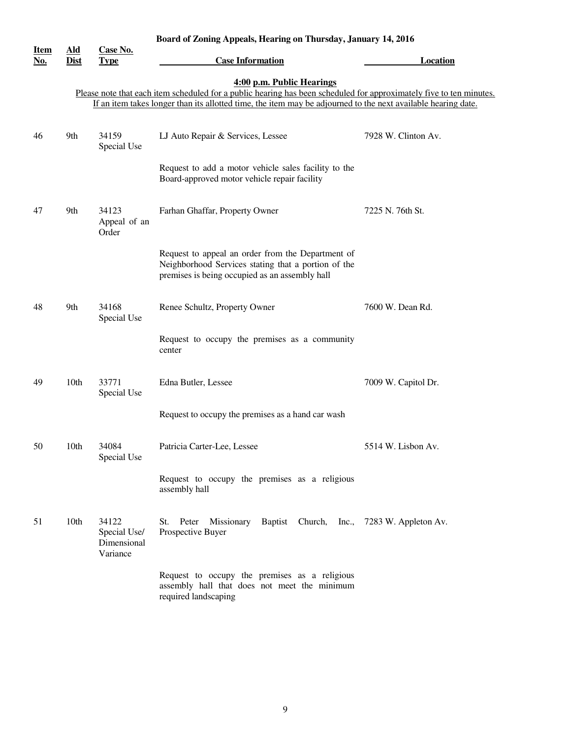|                           | Board of Zoning Appeals, Hearing on Thursday, January 14, 2016 |                                                  |                                                                                                                                                                                                                                                                   |                     |
|---------------------------|----------------------------------------------------------------|--------------------------------------------------|-------------------------------------------------------------------------------------------------------------------------------------------------------------------------------------------------------------------------------------------------------------------|---------------------|
| <b>Item</b><br><u>No.</u> | <u>Ald</u><br>Dist                                             | Case No.<br><b>Type</b>                          | <b>Case Information</b>                                                                                                                                                                                                                                           | <b>Location</b>     |
|                           |                                                                |                                                  | 4:00 p.m. Public Hearings<br>Please note that each item scheduled for a public hearing has been scheduled for approximately five to ten minutes.<br>If an item takes longer than its allotted time, the item may be adjourned to the next available hearing date. |                     |
| 46                        | 9th                                                            | 34159<br>Special Use                             | LJ Auto Repair & Services, Lessee                                                                                                                                                                                                                                 | 7928 W. Clinton Av. |
|                           |                                                                |                                                  | Request to add a motor vehicle sales facility to the<br>Board-approved motor vehicle repair facility                                                                                                                                                              |                     |
| 47                        | 9th                                                            | 34123<br>Appeal of an<br>Order                   | Farhan Ghaffar, Property Owner                                                                                                                                                                                                                                    | 7225 N. 76th St.    |
|                           |                                                                |                                                  | Request to appeal an order from the Department of<br>Neighborhood Services stating that a portion of the<br>premises is being occupied as an assembly hall                                                                                                        |                     |
| 48                        | 9th                                                            | 34168<br>Special Use                             | Renee Schultz, Property Owner                                                                                                                                                                                                                                     | 7600 W. Dean Rd.    |
|                           |                                                                |                                                  | Request to occupy the premises as a community<br>center                                                                                                                                                                                                           |                     |
| 49                        | 10th                                                           | 33771<br>Special Use                             | Edna Butler, Lessee                                                                                                                                                                                                                                               | 7009 W. Capitol Dr. |
|                           |                                                                |                                                  | Request to occupy the premises as a hand car wash                                                                                                                                                                                                                 |                     |
| 50                        | 10th                                                           | 34084<br>Special Use                             | Patricia Carter-Lee, Lessee                                                                                                                                                                                                                                       | 5514 W. Lisbon Av.  |
|                           |                                                                |                                                  | Request to occupy the premises as a religious<br>assembly hall                                                                                                                                                                                                    |                     |
| 51                        | 10 <sub>th</sub>                                               | 34122<br>Special Use/<br>Dimensional<br>Variance | Missionary<br>Baptist Church, Inc., 7283 W. Appleton Av.<br>St.<br>Peter<br>Prospective Buyer                                                                                                                                                                     |                     |
|                           |                                                                |                                                  | Request to occupy the premises as a religious<br>assembly hall that does not meet the minimum<br>required landscaping                                                                                                                                             |                     |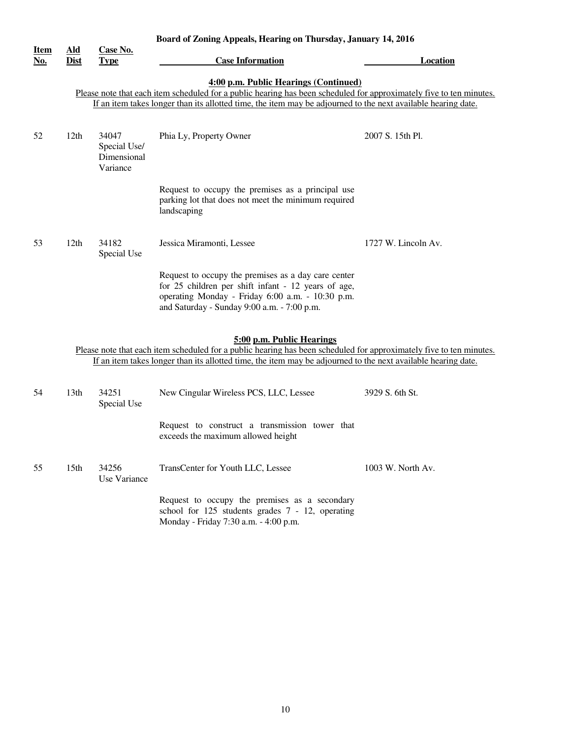|                           |                                                                                                                                                                                                                                                                               |                                                  | Board of Zoning Appeals, Hearing on Thursday, January 14, 2016                                                                                                                                                                                                    |                     |  |  |
|---------------------------|-------------------------------------------------------------------------------------------------------------------------------------------------------------------------------------------------------------------------------------------------------------------------------|--------------------------------------------------|-------------------------------------------------------------------------------------------------------------------------------------------------------------------------------------------------------------------------------------------------------------------|---------------------|--|--|
| <b>Item</b><br><u>No.</u> | Ald<br><b>Dist</b>                                                                                                                                                                                                                                                            | Case No.<br><b>Type</b>                          | <b>Case Information</b>                                                                                                                                                                                                                                           | Location            |  |  |
|                           | 4:00 p.m. Public Hearings (Continued)<br>Please note that each item scheduled for a public hearing has been scheduled for approximately five to ten minutes.<br>If an item takes longer than its allotted time, the item may be adjourned to the next available hearing date. |                                                  |                                                                                                                                                                                                                                                                   |                     |  |  |
| 52                        | 12th                                                                                                                                                                                                                                                                          | 34047<br>Special Use/<br>Dimensional<br>Variance | Phia Ly, Property Owner                                                                                                                                                                                                                                           | 2007 S. 15th Pl.    |  |  |
|                           |                                                                                                                                                                                                                                                                               |                                                  | Request to occupy the premises as a principal use<br>parking lot that does not meet the minimum required<br>landscaping                                                                                                                                           |                     |  |  |
| 53                        | 12 <sup>th</sup>                                                                                                                                                                                                                                                              | 34182<br>Special Use                             | Jessica Miramonti, Lessee                                                                                                                                                                                                                                         | 1727 W. Lincoln Av. |  |  |
|                           |                                                                                                                                                                                                                                                                               |                                                  | Request to occupy the premises as a day care center<br>for 25 children per shift infant - 12 years of age,<br>operating Monday - Friday 6:00 a.m. - 10:30 p.m.<br>and Saturday - Sunday 9:00 a.m. - 7:00 p.m.                                                     |                     |  |  |
|                           |                                                                                                                                                                                                                                                                               |                                                  | 5:00 p.m. Public Hearings<br>Please note that each item scheduled for a public hearing has been scheduled for approximately five to ten minutes.<br>If an item takes longer than its allotted time, the item may be adjourned to the next available hearing date. |                     |  |  |
| 54                        | 13th                                                                                                                                                                                                                                                                          | 34251<br>Special Use                             | New Cingular Wireless PCS, LLC, Lessee                                                                                                                                                                                                                            | 3929 S. 6th St.     |  |  |
|                           |                                                                                                                                                                                                                                                                               |                                                  | Request to construct a transmission tower that<br>exceeds the maximum allowed height                                                                                                                                                                              |                     |  |  |
| 55                        | 15 <sub>th</sub>                                                                                                                                                                                                                                                              | 34256<br>Use Variance                            | TransCenter for Youth LLC, Lessee                                                                                                                                                                                                                                 | 1003 W. North Av.   |  |  |
|                           |                                                                                                                                                                                                                                                                               |                                                  | Request to occupy the premises as a secondary<br>school for 125 students grades 7 - 12, operating<br>Monday - Friday 7:30 a.m. - 4:00 p.m.                                                                                                                        |                     |  |  |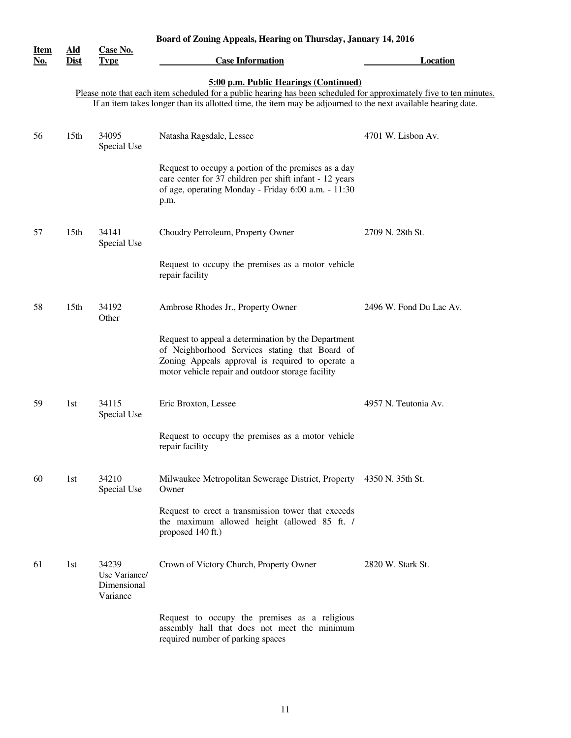| Board of Zoning Appeals, Hearing on Thursday, January 14, 2016<br><u>Ald</u><br>Case No. |                  |                                                   |                                                                                                                                                                                                                |                         |
|------------------------------------------------------------------------------------------|------------------|---------------------------------------------------|----------------------------------------------------------------------------------------------------------------------------------------------------------------------------------------------------------------|-------------------------|
| <b>Item</b><br><u>No.</u>                                                                | <b>Dist</b>      | <b>Type</b>                                       | <b>Case Information</b>                                                                                                                                                                                        | Location                |
|                                                                                          |                  |                                                   | 5:00 p.m. Public Hearings (Continued)                                                                                                                                                                          |                         |
|                                                                                          |                  |                                                   | Please note that each item scheduled for a public hearing has been scheduled for approximately five to ten minutes.                                                                                            |                         |
|                                                                                          |                  |                                                   | If an item takes longer than its allotted time, the item may be adjourned to the next available hearing date.                                                                                                  |                         |
| 56                                                                                       | 15 <sub>th</sub> | 34095<br>Special Use                              | Natasha Ragsdale, Lessee                                                                                                                                                                                       | 4701 W. Lisbon Av.      |
|                                                                                          |                  |                                                   | Request to occupy a portion of the premises as a day<br>care center for 37 children per shift infant - 12 years<br>of age, operating Monday - Friday 6:00 a.m. - 11:30<br>p.m.                                 |                         |
| 57                                                                                       | 15 <sub>th</sub> | 34141<br>Special Use                              | Choudry Petroleum, Property Owner                                                                                                                                                                              | 2709 N. 28th St.        |
|                                                                                          |                  |                                                   | Request to occupy the premises as a motor vehicle<br>repair facility                                                                                                                                           |                         |
| 58                                                                                       | 15 <sub>th</sub> | 34192<br>Other                                    | Ambrose Rhodes Jr., Property Owner                                                                                                                                                                             | 2496 W. Fond Du Lac Av. |
|                                                                                          |                  |                                                   | Request to appeal a determination by the Department<br>of Neighborhood Services stating that Board of<br>Zoning Appeals approval is required to operate a<br>motor vehicle repair and outdoor storage facility |                         |
| 59                                                                                       | 1st              | 34115<br>Special Use                              | Eric Broxton, Lessee                                                                                                                                                                                           | 4957 N. Teutonia Av.    |
|                                                                                          |                  |                                                   | Request to occupy the premises as a motor vehicle<br>repair facility                                                                                                                                           |                         |
| 60                                                                                       | 1st              | 34210<br>Special Use                              | Milwaukee Metropolitan Sewerage District, Property<br>Owner                                                                                                                                                    | 4350 N. 35th St.        |
|                                                                                          |                  |                                                   | Request to erect a transmission tower that exceeds<br>the maximum allowed height (allowed 85 ft. /<br>proposed 140 ft.)                                                                                        |                         |
| 61                                                                                       | 1st              | 34239<br>Use Variance/<br>Dimensional<br>Variance | Crown of Victory Church, Property Owner                                                                                                                                                                        | 2820 W. Stark St.       |
|                                                                                          |                  |                                                   | Request to occupy the premises as a religious<br>assembly hall that does not meet the minimum<br>required number of parking spaces                                                                             |                         |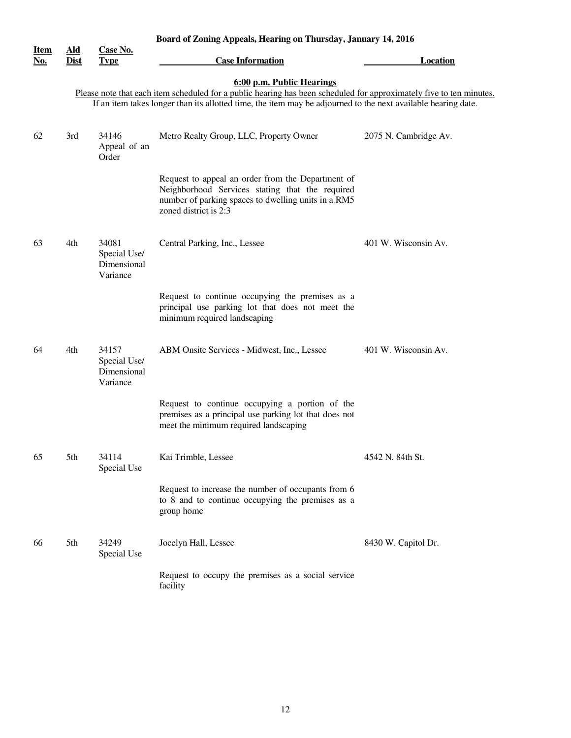| Board of Zoning Appeals, Hearing on Thursday, January 14, 2016 |                           |                                                  |                                                                                                                                                                                      |                       |  |  |
|----------------------------------------------------------------|---------------------------|--------------------------------------------------|--------------------------------------------------------------------------------------------------------------------------------------------------------------------------------------|-----------------------|--|--|
| <b>Item</b><br>No.                                             | Ald<br><b>Dist</b>        | <b>Case No.</b><br><b>Type</b>                   | <b>Case Information</b>                                                                                                                                                              | <b>Location</b>       |  |  |
|                                                                | 6:00 p.m. Public Hearings |                                                  |                                                                                                                                                                                      |                       |  |  |
|                                                                |                           |                                                  | Please note that each item scheduled for a public hearing has been scheduled for approximately five to ten minutes.                                                                  |                       |  |  |
|                                                                |                           |                                                  | If an item takes longer than its allotted time, the item may be adjourned to the next available hearing date.                                                                        |                       |  |  |
| 62                                                             | 3rd                       | 34146<br>Appeal of an<br>Order                   | Metro Realty Group, LLC, Property Owner                                                                                                                                              | 2075 N. Cambridge Av. |  |  |
|                                                                |                           |                                                  | Request to appeal an order from the Department of<br>Neighborhood Services stating that the required<br>number of parking spaces to dwelling units in a RM5<br>zoned district is 2:3 |                       |  |  |
| 63                                                             | 4th                       | 34081<br>Special Use/<br>Dimensional<br>Variance | Central Parking, Inc., Lessee                                                                                                                                                        | 401 W. Wisconsin Av.  |  |  |
|                                                                |                           |                                                  | Request to continue occupying the premises as a<br>principal use parking lot that does not meet the<br>minimum required landscaping                                                  |                       |  |  |
| 64                                                             | 4th                       | 34157<br>Special Use/<br>Dimensional<br>Variance | ABM Onsite Services - Midwest, Inc., Lessee                                                                                                                                          | 401 W. Wisconsin Av.  |  |  |
|                                                                |                           |                                                  | Request to continue occupying a portion of the<br>premises as a principal use parking lot that does not<br>meet the minimum required landscaping                                     |                       |  |  |
| 65                                                             | 5th                       | 34114<br>Special Use                             | Kai Trimble, Lessee                                                                                                                                                                  | 4542 N. 84th St.      |  |  |
|                                                                |                           |                                                  | Request to increase the number of occupants from 6<br>to 8 and to continue occupying the premises as a<br>group home                                                                 |                       |  |  |
| 66                                                             | 5th                       | 34249<br>Special Use                             | Jocelyn Hall, Lessee                                                                                                                                                                 | 8430 W. Capitol Dr.   |  |  |
|                                                                |                           |                                                  | Request to occupy the premises as a social service<br>facility                                                                                                                       |                       |  |  |